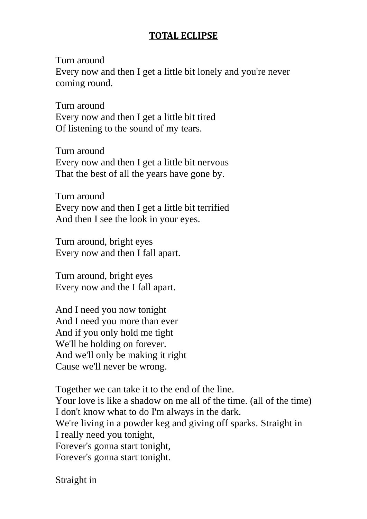## **TOTAL ECLIPSE**

Turn around

Every now and then I get a little bit lonely and you're never coming round.

Turn around Every now and then I get a little bit tired Of listening to the sound of my tears.

Turn around Every now and then I get a little bit nervous That the best of all the years have gone by.

Turn around Every now and then I get a little bit terrified And then I see the look in your eyes.

Turn around, bright eyes Every now and then I fall apart.

Turn around, bright eyes Every now and the I fall apart.

And I need you now tonight And I need you more than ever And if you only hold me tight We'll be holding on forever. And we'll only be making it right Cause we'll never be wrong.

Together we can take it to the end of the line. Your love is like a shadow on me all of the time. (all of the time) I don't know what to do I'm always in the dark. We're living in a powder keg and giving off sparks. Straight in I really need you tonight, Forever's gonna start tonight, Forever's gonna start tonight.

Straight in